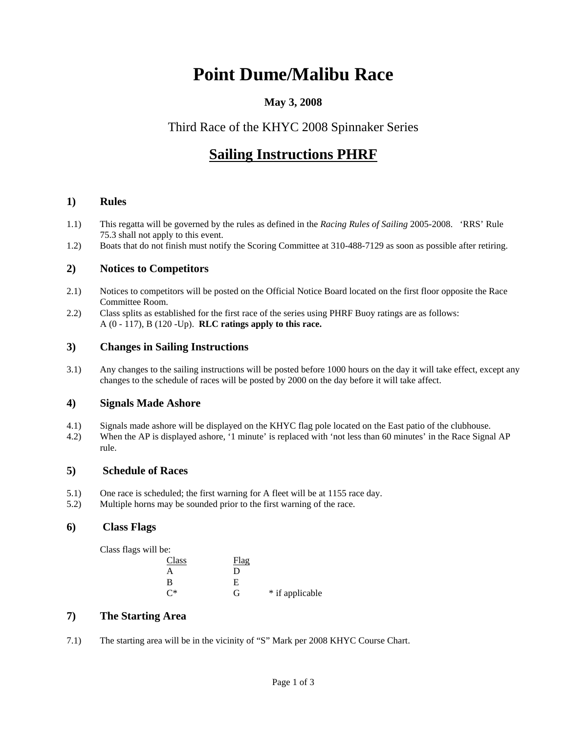# **Point Dume/Malibu Race**

### **May 3, 2008**

## Third Race of the KHYC 2008 Spinnaker Series

# **Sailing Instructions PHRF**

#### **1) Rules**

- 1.1) This regatta will be governed by the rules as defined in the *Racing Rules of Sailing* 2005-2008. 'RRS' Rule 75.3 shall not apply to this event.
- 1.2) Boats that do not finish must notify the Scoring Committee at 310-488-7129 as soon as possible after retiring.

#### **2) Notices to Competitors**

- 2.1) Notices to competitors will be posted on the Official Notice Board located on the first floor opposite the Race Committee Room.
- 2.2) Class splits as established for the first race of the series using PHRF Buoy ratings are as follows: A (0 - 117), B (120 -Up). **RLC ratings apply to this race.**

#### **3) Changes in Sailing Instructions**

3.1) Any changes to the sailing instructions will be posted before 1000 hours on the day it will take effect, except any changes to the schedule of races will be posted by 2000 on the day before it will take affect.

#### **4) Signals Made Ashore**

- 4.1) Signals made ashore will be displayed on the KHYC flag pole located on the East patio of the clubhouse.
- 4.2) When the AP is displayed ashore, '1 minute' is replaced with 'not less than 60 minutes' in the Race Signal AP rule.

#### **5) Schedule of Races**

- 5.1) One race is scheduled; the first warning for A fleet will be at 1155 race day.
- 5.2) Multiple horns may be sounded prior to the first warning of the race.

#### **6) Class Flags**

Class flags will be:

| Class          | <u>Flag</u> |                 |
|----------------|-------------|-----------------|
| A              | D           |                 |
| B              | E           |                 |
| $\mathsf{C}^*$ | G           | * if applicable |

#### **7) The Starting Area**

7.1) The starting area will be in the vicinity of "S" Mark per 2008 KHYC Course Chart.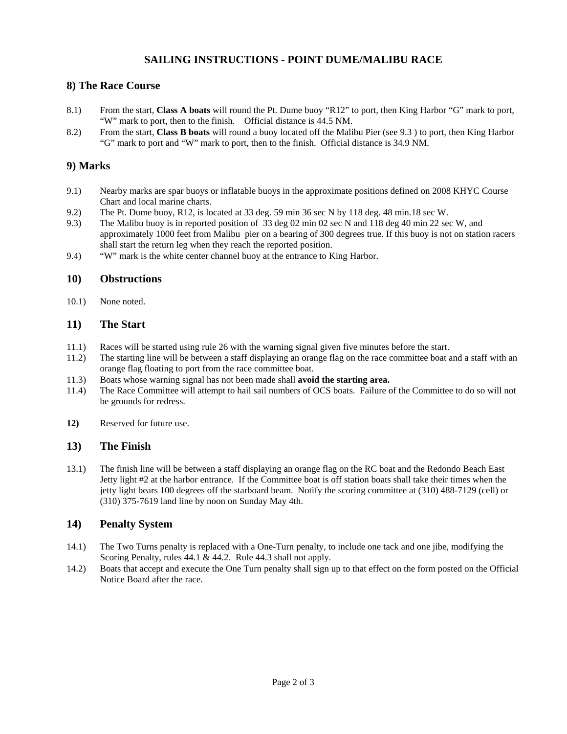#### **SAILING INSTRUCTIONS - POINT DUME/MALIBU RACE**

#### **8) The Race Course**

- 8.1) From the start, **Class A boats** will round the Pt. Dume buoy "R12" to port, then King Harbor "G" mark to port, "W" mark to port, then to the finish. Official distance is 44.5 NM.
- 8.2) From the start, **Class B boats** will round a buoy located off the Malibu Pier (see 9.3 ) to port, then King Harbor "G" mark to port and "W" mark to port, then to the finish. Official distance is 34.9 NM.

#### **9) Marks**

- 9.1) Nearby marks are spar buoys or inflatable buoys in the approximate positions defined on 2008 KHYC Course Chart and local marine charts.
- 9.2) The Pt. Dume buoy, R12, is located at 33 deg. 59 min 36 sec N by 118 deg. 48 min.18 sec W.
- 9.3) The Malibu buoy is in reported position of 33 deg 02 min 02 sec N and 118 deg 40 min 22 sec W, and approximately 1000 feet from Malibu pier on a bearing of 300 degrees true. If this buoy is not on station racers shall start the return leg when they reach the reported position.
- 9.4) "W" mark is the white center channel buoy at the entrance to King Harbor.

#### **10) Obstructions**

10.1) None noted.

#### **11) The Start**

- 11.1) Races will be started using rule 26 with the warning signal given five minutes before the start.
- 11.2) The starting line will be between a staff displaying an orange flag on the race committee boat and a staff with an orange flag floating to port from the race committee boat.
- 11.3) Boats whose warning signal has not been made shall **avoid the starting area.**
- 11.4) The Race Committee will attempt to hail sail numbers of OCS boats. Failure of the Committee to do so will not be grounds for redress.
- **12)** Reserved for future use.

#### **13) The Finish**

13.1) The finish line will be between a staff displaying an orange flag on the RC boat and the Redondo Beach East Jetty light #2 at the harbor entrance. If the Committee boat is off station boats shall take their times when the jetty light bears 100 degrees off the starboard beam. Notify the scoring committee at (310) 488-7129 (cell) or (310) 375-7619 land line by noon on Sunday May 4th.

#### **14) Penalty System**

- 14.1) The Two Turns penalty is replaced with a One-Turn penalty, to include one tack and one jibe, modifying the Scoring Penalty, rules 44.1 & 44.2. Rule 44.3 shall not apply.
- 14.2) Boats that accept and execute the One Turn penalty shall sign up to that effect on the form posted on the Official Notice Board after the race.